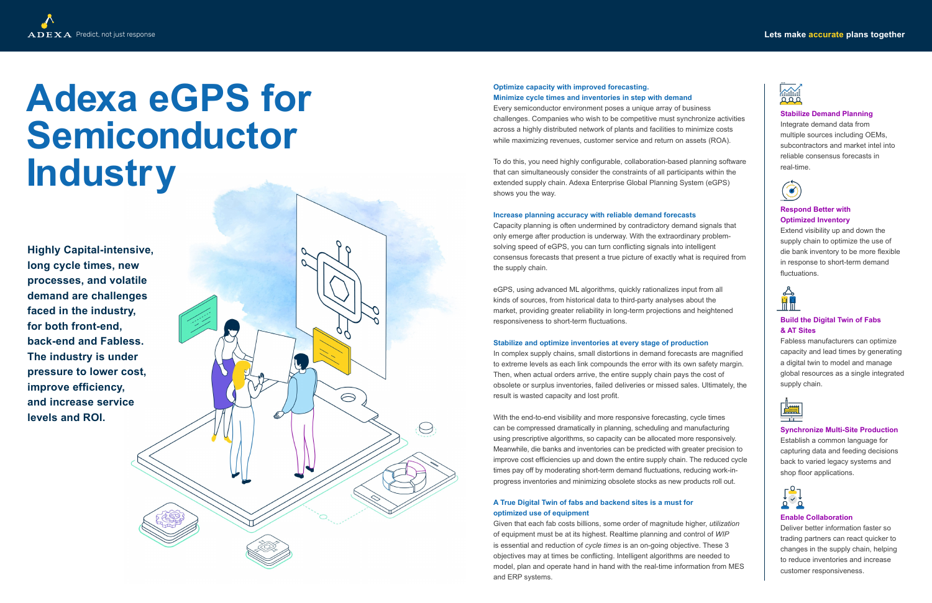# Predict, not just response **Lets make accurate plans together**



# **Adexa eGPS for Semiconductor Industry**

# **Optimize capacity with improved forecasting.**

**Minimize cycle times and inventories in step with demand** Every semiconductor environment poses a unique array of business challenges. Companies who wish to be competitive must synchronize activities across a highly distributed network of plants and facilities to minimize costs while maximizing revenues, customer service and return on assets (ROA).

To do this, you need highly configurable, collaboration-based planning software that can simultaneously consider the constraints of all participants within the extended supply chain. Adexa Enterprise Global Planning System (eGPS) shows you the way.

## **Increase planning accuracy with reliable demand forecasts**

Capacity planning is often undermined by contradictory demand signals that only emerge after production is underway. With the extraordinary problemsolving speed of eGPS, you can turn conflicting signals into intelligent consensus forecasts that present a true picture of exactly what is required from the supply chain.

eGPS, using advanced ML algorithms, quickly rationalizes input from all kinds of sources, from historical data to third-party analyses about the market, providing greater reliability in long-term projections and heightened responsiveness to short-term fluctuations.

## **Stabilize and optimize inventories at every stage of production**

Fabless manufacturers can optimize capacity and lead times by generating a digital twin to model and manage global resources as a single integrated supply chain



In complex supply chains, small distortions in demand forecasts are magnified to extreme levels as each link compounds the error with its own safety margin. Then, when actual orders arrive, the entire supply chain pays the cost of obsolete or surplus inventories, failed deliveries or missed sales. Ultimately, the result is wasted capacity and lost profit.

With the end-to-end visibility and more responsive forecasting, cycle times can be compressed dramatically in planning, scheduling and manufacturing using prescriptive algorithms, so capacity can be allocated more responsively. Meanwhile, die banks and inventories can be predicted with greater precision to improve cost efficiencies up and down the entire supply chain. The reduced cycle times pay off by moderating short-term demand fluctuations, reducing work-inprogress inventories and minimizing obsolete stocks as new products roll out.

## **A True Digital Twin of fabs and backend sites is a must for optimized use of equipment**

Given that each fab costs billions, some order of magnitude higher, *utilization* of equipment must be at its highest. Realtime planning and control of *WIP* is essential and reduction of *cycle times* is an on-going objective. These 3 objectives may at times be conflicting. Intelligent algorithms are needed to model, plan and operate hand in hand with the real-time information from MES and ERP systems.

## **Stabilize Demand Planning**

Integrate demand data from multiple sources including OEMs, subcontractors and market intel into reliable consensus forecasts in real-time.



# **Respond Better with Optimized Inventory**

Extend visibility up and down the supply chain to optimize the use of die bank inventory to be more flexible in response to short-term demand fluctuations.



# **Build the Digital Twin of Fabs & AT Sites**

## **Synchronize Multi-Site Production**

Establish a common language for capturing data and feeding decisions back to varied legacy systems and shop floor applications.



## **Enable Collaboration**

Deliver better information faster so trading partners can react quicker to changes in the supply chain, helping to reduce inventories and increase customer responsiveness.

**Highly Capital-intensive, long cycle times, new processes, and volatile demand are challenges faced in the industry, for both front-end, back-end and Fabless. The industry is under pressure to lower cost, improve efficiency, and increase service levels and ROI.**